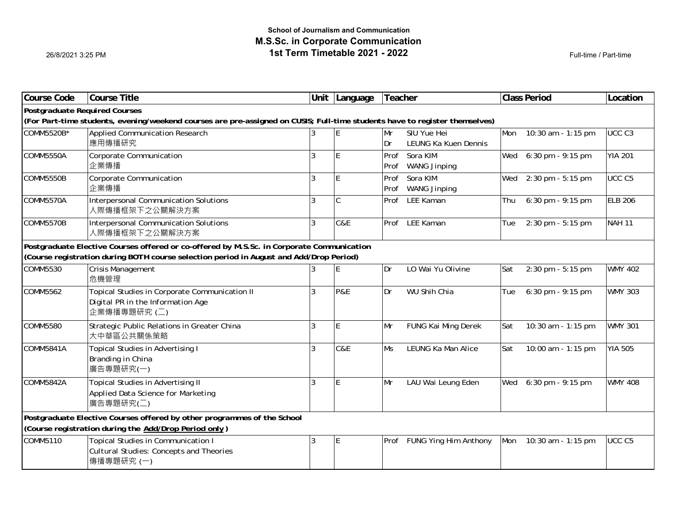$\overline{\phantom{a}}$  Full-time / Part-time

| <b>Course Code</b>                                                                                                                                                                   | <b>Course Title</b>                                     |   | Unit   Language | Teacher   |                            |     | <b>Class Period</b>   | Location          |  |  |  |
|--------------------------------------------------------------------------------------------------------------------------------------------------------------------------------------|---------------------------------------------------------|---|-----------------|-----------|----------------------------|-----|-----------------------|-------------------|--|--|--|
| <b>Postgraduate Required Courses</b>                                                                                                                                                 |                                                         |   |                 |           |                            |     |                       |                   |  |  |  |
| (For Part-time students, evening/weekend courses are pre-assigned on CUSIS; Full-time students have to register themselves)                                                          |                                                         |   |                 |           |                            |     |                       |                   |  |  |  |
| COMM5520B*                                                                                                                                                                           | <b>Applied Communication Research</b>                   | 3 | E               | Mr        | SIU Yue Hei                | Mon | 10:30 am - 1:15 pm    | UCC <sub>C3</sub> |  |  |  |
|                                                                                                                                                                                      | 應用傳播研究                                                  |   |                 | Dr        | LEUNG Ka Kuen Dennis       |     |                       |                   |  |  |  |
| <b>COMM5550A</b>                                                                                                                                                                     | Corporate Communication                                 | ζ | E               | Prof      | Sora KIM                   | Wed | $6:30$ pm - 9:15 pm   | <b>YIA 201</b>    |  |  |  |
|                                                                                                                                                                                      | 企業傳播                                                    |   |                 | Prof      | <b>WANG Jinping</b>        |     |                       |                   |  |  |  |
| <b>COMM5550B</b>                                                                                                                                                                     | Corporate Communication                                 | ζ | E               | Prof      | Sora KIM                   | Wed | 2:30 pm - 5:15 pm     | UCC <sub>C5</sub> |  |  |  |
|                                                                                                                                                                                      | 企業傳播                                                    |   |                 | Prof      | <b>WANG Jinping</b>        |     |                       |                   |  |  |  |
| <b>COMM5570A</b>                                                                                                                                                                     | Interpersonal Communication Solutions<br>人際傳播框架下之公關解決方案 | ζ | C               | Prof      | LEE Kaman                  | Thu | 6:30 pm - 9:15 pm     | <b>ELB 206</b>    |  |  |  |
| <b>COMM5570B</b>                                                                                                                                                                     | Interpersonal Communication Solutions<br>人際傳播框架下之公關解決方案 | 3 | C&E             |           | Prof LEE Kaman             | Tue | 2:30 pm - 5:15 pm     | <b>NAH 11</b>     |  |  |  |
|                                                                                                                                                                                      |                                                         |   |                 |           |                            |     |                       |                   |  |  |  |
| Postgraduate Elective Courses offered or co-offered by M.S.Sc. in Corporate Communication<br>(Course registration during BOTH course selection period in August and Add/Drop Period) |                                                         |   |                 |           |                            |     |                       |                   |  |  |  |
| COMM5530                                                                                                                                                                             | <b>Crisis Management</b>                                |   | E               | Dr        | LO Wai Yu Olivine          | Sat | 2:30 pm - 5:15 pm     | <b>WMY 402</b>    |  |  |  |
|                                                                                                                                                                                      | 危機管理                                                    |   |                 |           |                            |     |                       |                   |  |  |  |
| COMM5562                                                                                                                                                                             | Topical Studies in Corporate Communication II           | 3 | <b>P&amp;E</b>  | Dr        | WU Shih Chia               | Tue | 6:30 pm - 9:15 pm     | <b>WMY 303</b>    |  |  |  |
|                                                                                                                                                                                      | Digital PR in the Information Age                       |   |                 |           |                            |     |                       |                   |  |  |  |
|                                                                                                                                                                                      | 企業傳播專題研究 (二)                                            |   |                 |           |                            |     |                       |                   |  |  |  |
| <b>COMM5580</b>                                                                                                                                                                      | Strategic Public Relations in Greater China             | 3 | E               | Mr        | FUNG Kai Ming Derek        | Sat | 10:30 am - 1:15 pm    | <b>WMY 301</b>    |  |  |  |
|                                                                                                                                                                                      | 大中華區公共關係策略                                              |   |                 |           |                            |     |                       |                   |  |  |  |
| <b>COMM5841A</b>                                                                                                                                                                     | <b>Topical Studies in Advertising I</b>                 | ζ | C&E             | <b>Ms</b> | LEUNG Ka Man Alice         | Sat | 10:00 am - 1:15 pm    | <b>YIA 505</b>    |  |  |  |
|                                                                                                                                                                                      | Branding in China                                       |   |                 |           |                            |     |                       |                   |  |  |  |
|                                                                                                                                                                                      | 廣告專題研究(一)                                               |   |                 |           |                            |     |                       |                   |  |  |  |
| <b>COMM5842A</b>                                                                                                                                                                     | Topical Studies in Advertising II                       | ζ | E               | Mr        | LAU Wai Leung Eden         |     | Wed 6:30 pm - 9:15 pm | <b>WMY 408</b>    |  |  |  |
|                                                                                                                                                                                      | Applied Data Science for Marketing                      |   |                 |           |                            |     |                       |                   |  |  |  |
|                                                                                                                                                                                      | 廣告專題研究(二)                                               |   |                 |           |                            |     |                       |                   |  |  |  |
| Postgraduate Elective Courses offered by other programmes of the School                                                                                                              |                                                         |   |                 |           |                            |     |                       |                   |  |  |  |
| (Course registration during the Add/Drop Period only)                                                                                                                                |                                                         |   |                 |           |                            |     |                       |                   |  |  |  |
| COMM5110                                                                                                                                                                             | <b>Topical Studies in Communication I</b>               | 3 | $\mathsf E$     |           | Prof FUNG Ying Him Anthony | Mon | 10:30 am - 1:15 pm    | UCC <sub>C5</sub> |  |  |  |
|                                                                                                                                                                                      | <b>Cultural Studies: Concepts and Theories</b>          |   |                 |           |                            |     |                       |                   |  |  |  |
|                                                                                                                                                                                      | 傳播專題研究 (一)                                              |   |                 |           |                            |     |                       |                   |  |  |  |